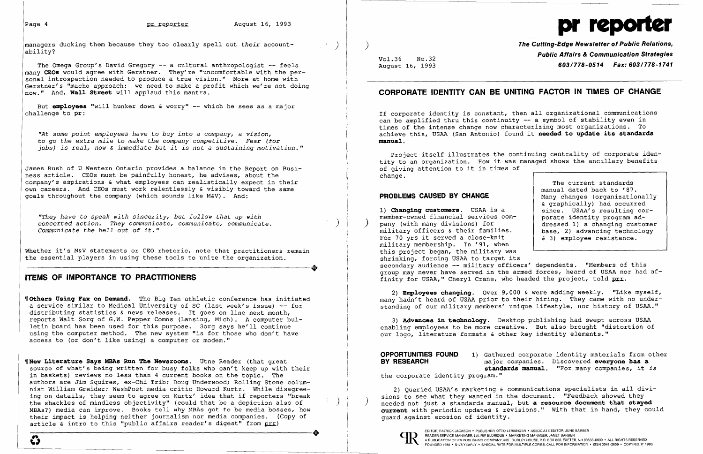managers ducking them because they too clearly spell out *their* accountability?

The Omega Group's David Gregory -- a cultural anthropologist -- feels many **CEOs** would agree with Gerstner. They're "uncomfortable with the personal introspection needed to produce a true vision." More at home with Gerstner's "macho approach: we need to make a profit which we're not doing now." And, **Wall Street** will applaud this mantra.

But **employees** "will hunker down & worry" -- which he sees as a major challenge to pr:

"They have to speak with sincerity, but follow that up with concerted action. They communicate, communicate, communicate.<br>Communicate the hell out of it." *Communicate the hell out* of *it."* 

'~t *some point employees have* to *buy into* a *company,* a *vision,*  to *go the extra mile* to *make the company competitive. Fear (for jobs) is real, now* & *immediate but it is not* a *sustaining motivation."* 

Whether it's M&V statements or CEO rhetoric, note that practitioners remain<br>
the essential players in using these tools to unite the organization.<br>
THE OF IMPORTANCE TO PRACTITIONERS the essential players in using these tools to unite the organization.

James Rush of U Western Ontario provides a balance in the Report on Business article. CEOs must be painfully honest, he advises, about the company's aspirations & what employees can realistically expect in their own careers. And CEOs must work relentlessly & visibly toward the same goals throughout the company (which sounds like M&V). And:

~rNew **Literature Says MBAs Run The Newsrooms.** Utne Reader (that great source of what's being written for busy folks who can't keep up with their in baskets) reviews no less than 4 current books on the topic. The authors are Jim Squires, ex-Chi Trib; Doug Underwood; Rolling Stone columnist William Greider; WashPost media critic Howard Kurtz. While disagreeing on details, they seem to agree on Kurtz' idea that if reporters "break the shackles of mindless objectivity" (could that be a depiction also of MBAS?) media can improve. Books tell why MBAs got to be media bosses, how their impact is helping neither journalism nor media companies. (Copy of guard against erosion of identity.<br>
article & intro to this "public affairs reader's digest" from prr)<br>
A READER FAIRICK JACKSON' PUBLISHER, ON OF PR article  $\bar{x}$  intro to this "public affairs reader's digest" from prr)

# **ITEMS OF IMPORTANCE TO PRACTITIONERS**

~rothers **Usinq Fax on Demand.** The Big Ten athletic conference has initiated a service similar to Medical University of SC (last week's issue) -- for distributing statistics & news releases. It goes on line next month, reports Walt Sorg of G.W. Pepper Comns (Lansing, Mich). A computer bulletin board has been used for this purpose. Sorg says he'll continue using the computer method. The new system "is for those who don't have access to (or don't like using) a computer or modem."

1) **Chanqinq customers.** USAA is a member-owned financial services com-<br>pany (with many divisions) for military officers & their families. For 70 yrs it served a close-knit military membership. In '91, when this project began, the military was shrinking, forcing USAA to target its secondary audience -- military officers' dependents. "Members of this porate identity program addressed 1) a changing customer base, 2) advancing technology & 3) employee resistance. group may never have served in the armed forces, heard of USAA nor had affinity for USAA," Cheryl Crane, who headed the project, told prr.

2) **Employees changing.** Over 9,000 & were adding weekly. "Like myself, many hadn't heard of USAA prior to their hiring. They came with no understanding of our military members' unique lifestyle, nor history of USAA."

3) Advances in technology. Desktop publishing had swept across USAA enabling employees to be more creative. But also brought "distortion of our logo, literature formats & other key identity elements."

**OPPORTUNITIES FOUND** 1) Gathered corporate identity materials from other<br>**BY RESEARCH** major companies. Discovered **evervone has a BY RESEARCH** major companies. Discovered **everyone has a standards manual.** "For many companies, it *is* 

2) Queried USAA's marketing & communications specialists in all divi-<br>sions to see what they wanted in the document. "Feedback showed they needed not just a standards manual, but a resource document that staved **current** with periodic updates & revisions." With that in hand, they could guard against erosion of identity.



# pr **I**

)

)

 $\mathcal{L}$ 

) **The Cutting-Edge Newsletter of Public Relations, Public Affairs & Communication Strategies** Vol. 36 No. 32 August 16, 1993 *603/778-0514* Fax: *603/778-1741* 

# **CORPORATE IDENTITY CAN BE UNITING FACTOR IN TIMES OF CHANGE**

If corporate identity is constant, then all organizational communications can be amplified thru this continuity -- a symbol of stability even in times of the intense change now characterizing most organizations. To achieve this, USAA (San Antonio) found it **needed to update its standards manual.** 

Project itself illustrates the continuing centrality of corporate identity to an organization. How it was managed shows the ancillary benefits of giving attention to it in times of change.

## **PROBLEMS CAUSED BY CHANGE**

The current standards manual dated back to '87. Many changes (organizationally & graphically) had occurred since. USAA's resulting cor-

the corporate identity program."